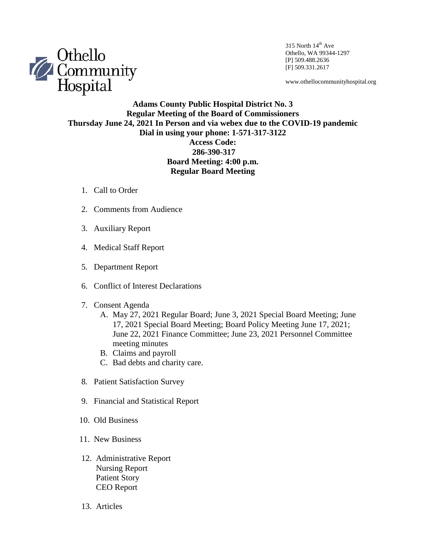

315 North  $14<sup>th</sup>$  Ave Othello, WA 99344-1297 [P] 509.488.2636 [F] 509.331.2617

www.othellocommunityhospital.org

## **Adams County Public Hospital District No. 3 Regular Meeting of the Board of Commissioners Thursday June 24, 2021 In Person and via webex due to the COVID-19 pandemic Dial in using your phone: 1-571-317-3122 Access Code: 286-390-317 Board Meeting: 4:00 p.m. Regular Board Meeting**

- 1. Call to Order
- 2. Comments from Audience
- 3. Auxiliary Report
- 4. Medical Staff Report
- 5. Department Report
- 6. Conflict of Interest Declarations
- 7. Consent Agenda
	- A. May 27, 2021 Regular Board; June 3, 2021 Special Board Meeting; June 17, 2021 Special Board Meeting; Board Policy Meeting June 17, 2021; June 22, 2021 Finance Committee; June 23, 2021 Personnel Committee meeting minutes
	- B. Claims and payroll
	- C. Bad debts and charity care.
- 8. Patient Satisfaction Survey
- 9. Financial and Statistical Report
- 10. Old Business
- 11. New Business
- 12. Administrative Report Nursing Report Patient Story CEO Report
- 13. Articles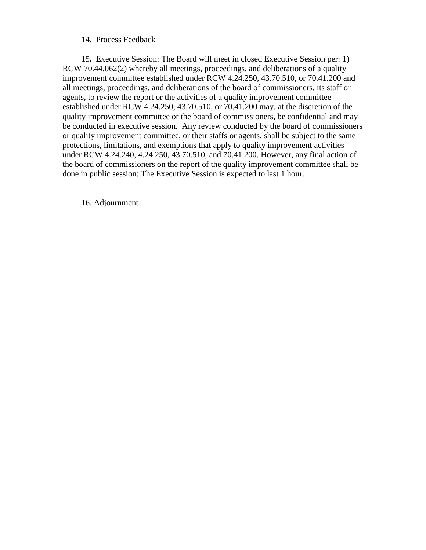## 14. Process Feedback

 15**.** Executive Session: The Board will meet in closed Executive Session per: 1) RCW 70.44.062(2) whereby all meetings, proceedings, and deliberations of a quality improvement committee established under RCW 4.24.250, 43.70.510, or 70.41.200 and all meetings, proceedings, and deliberations of the board of commissioners, its staff or agents, to review the report or the activities of a quality improvement committee established under RCW 4.24.250, 43.70.510, or 70.41.200 may, at the discretion of the quality improvement committee or the board of commissioners, be confidential and may be conducted in executive session. Any review conducted by the board of commissioners or quality improvement committee, or their staffs or agents, shall be subject to the same protections, limitations, and exemptions that apply to quality improvement activities under RCW 4.24.240, 4.24.250, 43.70.510, and 70.41.200. However, any final action of the board of commissioners on the report of the quality improvement committee shall be done in public session; The Executive Session is expected to last 1 hour.

16. Adjournment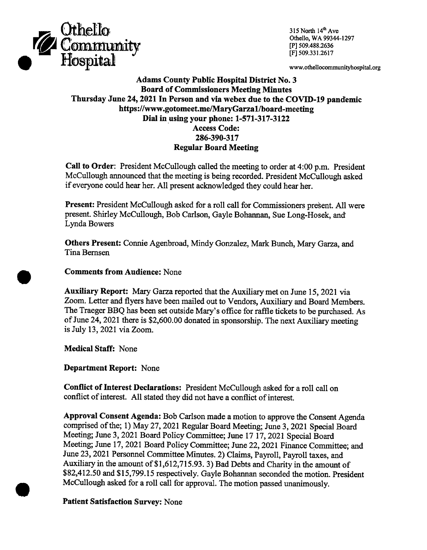

315 North 14th Ave Othello, WA 99344-1297 [P] 509.488.2636 [F] 509.331.2617

www.othellocommunityhospital.org

## **Adams County Public Hospital District No. 3 Board of Commissioners Meeting Minutes** Thursday June 24, 2021 In Person and via webex due to the COVID-19 pandemic https://www.gotomeet.me/MaryGarza1/board-meeting Dial in using your phone: 1-571-317-3122 **Access Code:** 286-390-317 **Regular Board Meeting**

Call to Order: President McCullough called the meeting to order at 4:00 p.m. President McCullough announced that the meeting is being recorded. President McCullough asked if everyone could hear her. All present acknowledged they could hear her.

Present: President McCullough asked for a roll call for Commissioners present. All were present. Shirley McCullough, Bob Carlson, Gayle Bohannan, Sue Long-Hosek, and Lynda Bowers

Others Present: Connie Agenbroad, Mindy Gonzalez, Mark Bunch, Mary Garza, and Tina Bernsen

**Comments from Audience: None** 

Auxiliary Report: Mary Garza reported that the Auxiliary met on June 15, 2021 via Zoom. Letter and flyers have been mailed out to Vendors, Auxiliary and Board Members. The Traeger BBQ has been set outside Mary's office for raffle tickets to be purchased. As of June 24, 2021 there is \$2,600.00 donated in sponsorship. The next Auxiliary meeting is July 13, 2021 via Zoom.

**Medical Staff: None** 

**Department Report: None** 

Conflict of Interest Declarations: President McCullough asked for a roll call on conflict of interest. All stated they did not have a conflict of interest.

Approval Consent Agenda: Bob Carlson made a motion to approve the Consent Agenda comprised of the; 1) May 27, 2021 Regular Board Meeting; June 3, 2021 Special Board Meeting; June 3, 2021 Board Policy Committee; June 17 17, 2021 Special Board Meeting; June 17, 2021 Board Policy Committee; June 22, 2021 Finance Committee; and June 23, 2021 Personnel Committee Minutes. 2) Claims, Payroll, Payroll taxes, and Auxiliary in the amount of \$1,612,715.93. 3) Bad Debts and Charity in the amount of \$82,412.50 and \$15,799.15 respectively. Gayle Bohannan seconded the motion. President McCullough asked for a roll call for approval. The motion passed unanimously.

## **Patient Satisfaction Survey: None**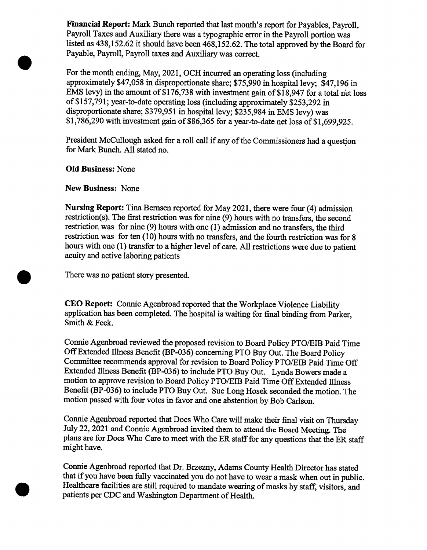Financial Report: Mark Bunch reported that last month's report for Payables, Payroll, Payroll Taxes and Auxiliary there was a typographic error in the Payroll portion was listed as 438,152.62 it should have been 468,152.62. The total approved by the Board for Payable, Payroll, Payroll taxes and Auxiliary was correct.

For the month ending, May, 2021, OCH incurred an operating loss (including approximately \$47,058 in disproportionate share; \$75,990 in hospital levy; \$47,196 in EMS levy) in the amount of \$176,738 with investment gain of \$18,947 for a total net loss of \$157,791; year-to-date operating loss (including approximately \$253,292 in disproportionate share; \$379,951 in hospital levy; \$235,984 in EMS levy) was \$1,786,290 with investment gain of \$86,365 for a year-to-date net loss of \$1,699,925.

President McCullough asked for a roll call if any of the Commissioners had a question for Mark Bunch. All stated no.

**Old Business: None** 

**New Business: None** 

Nursing Report: Tina Bernsen reported for May 2021, there were four (4) admission restriction(s). The first restriction was for nine (9) hours with no transfers, the second restriction was for nine (9) hours with one (1) admission and no transfers, the third restriction was for ten (10) hours with no transfers, and the fourth restriction was for 8 hours with one (1) transfer to a higher level of care. All restrictions were due to patient acuity and active laboring patients

There was no patient story presented.

CEO Report: Connie Agenbroad reported that the Workplace Violence Liability application has been completed. The hospital is waiting for final binding from Parker, Smith & Feek.

Connie Agenbroad reviewed the proposed revision to Board Policy PTO/EIB Paid Time Off Extended Illness Benefit (BP-036) concerning PTO Buy Out. The Board Policy Committee recommends approval for revision to Board Policy PTO/EIB Paid Time Off Extended Illness Benefit (BP-036) to include PTO Buy Out. Lynda Bowers made a motion to approve revision to Board Policy PTO/EIB Paid Time Off Extended Illness Benefit (BP-036) to include PTO Buy Out. Sue Long Hosek seconded the motion. The motion passed with four votes in favor and one abstention by Bob Carlson.

Connie Agenbroad reported that Docs Who Care will make their final visit on Thursday July 22, 2021 and Connie Agenbroad invited them to attend the Board Meeting. The plans are for Docs Who Care to meet with the ER staff for any questions that the ER staff might have.

Connie Agenbroad reported that Dr. Brzezny, Adams County Health Director has stated that if you have been fully vaccinated you do not have to wear a mask when out in public. Healthcare facilities are still required to mandate wearing of masks by staff, visitors, and patients per CDC and Washington Department of Health.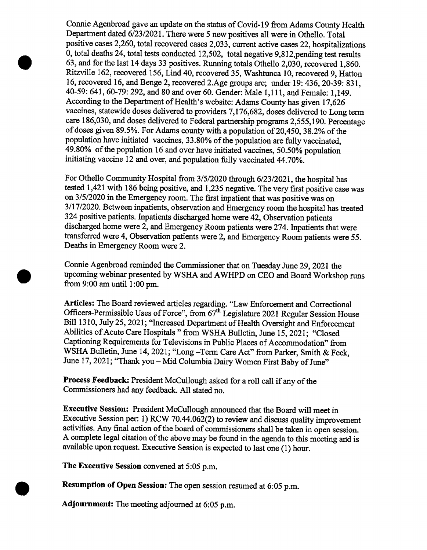Connie Agenbroad gave an update on the status of Covid-19 from Adams County Health Department dated 6/23/2021. There were 5 new positives all were in Othello. Total positive cases 2,260, total recovered cases 2,033, current active cases 22, hospitalizations 0, total deaths 24, total tests conducted 12,502, total negative 9,812, pending test results 63, and for the last 14 days 33 positives. Running totals Othello 2,030, recovered 1,860. Ritzville 162, recovered 156, Lind 40, recovered 35, Washtunca 10, recovered 9, Hatton 16, recovered 16, and Benge 2, recovered 2.Age groups are; under 19: 436, 20-39: 831, 40-59: 641, 60-79: 292, and 80 and over 60. Gender: Male 1,111, and Female: 1,149. According to the Department of Health's website: Adams County has given 17,626 vaccines, statewide doses delivered to providers 7,176,682, doses delivered to Long term care 186,030, and doses delivered to Federal partnership programs 2,555,190. Percentage of doses given 89.5%. For Adams county with a population of 20,450, 38.2% of the population have initiated vaccines, 33.80% of the population are fully vaccinated, 49.80% of the population 16 and over have initiated vaccines, 50.50% population initiating vaccine 12 and over, and population fully vaccinated 44.70%.

For Othello Community Hospital from 3/5/2020 through 6/23/2021, the hospital has tested 1,421 with 186 being positive, and 1,235 negative. The very first positive case was on 3/5/2020 in the Emergency room. The first inpatient that was positive was on 3/17/2020. Between inpatients, observation and Emergency room the hospital has treated 324 positive patients. Inpatients discharged home were 42, Observation patients discharged home were 2, and Emergency Room patients were 274. Inpatients that were transferred were 4, Observation patients were 2, and Emergency Room patients were 55. Deaths in Emergency Room were 2.

Connie Agenbroad reminded the Commissioner that on Tuesday June 29, 2021 the upcoming webinar presented by WSHA and AWHPD on CEO and Board Workshop runs from  $9:00$  am until  $1:00$  pm.

Articles: The Board reviewed articles regarding. "Law Enforcement and Correctional Officers-Permissible Uses of Force", from 67<sup>th</sup> Legislature 2021 Regular Session House Bill 1310, July 25, 2021; "Increased Department of Health Oversight and Enforcement Abilities of Acute Care Hospitals " from WSHA Bulletin, June 15, 2021; "Closed Captioning Requirements for Televisions in Public Places of Accommodation" from WSHA Bulletin, June 14, 2021; "Long-Term Care Act" from Parker, Smith & Feek, June 17, 2021; "Thank you - Mid Columbia Dairy Women First Baby of June"

Process Feedback: President McCullough asked for a roll call if any of the Commissioners had any feedback. All stated no.

Executive Session: President McCullough announced that the Board will meet in Executive Session per: 1) RCW 70.44.062(2) to review and discuss quality improvement activities. Any final action of the board of commissioners shall be taken in open session. A complete legal citation of the above may be found in the agenda to this meeting and is available upon request. Executive Session is expected to last one (1) hour.

The Executive Session convened at 5:05 p.m.

Resumption of Open Session: The open session resumed at 6:05 p.m.

Adjournment: The meeting adjourned at 6:05 p.m.